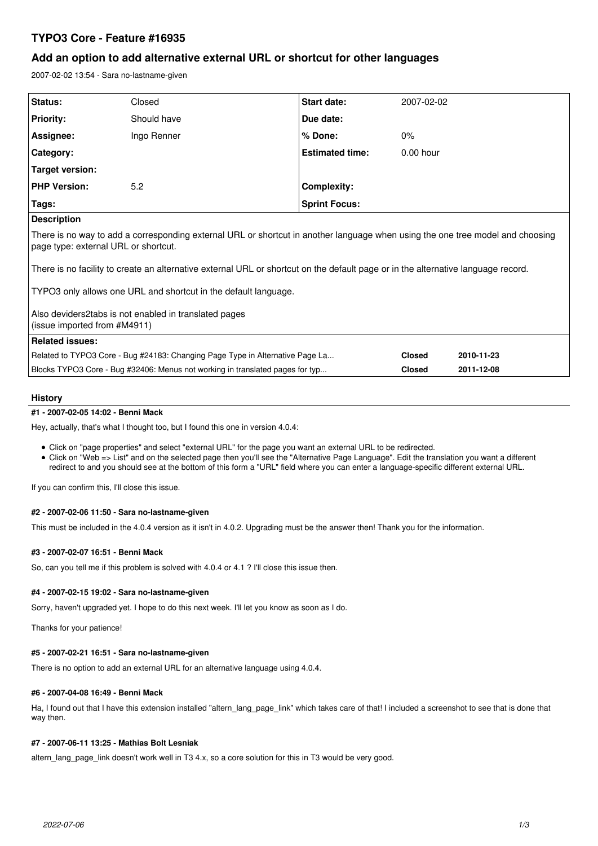# **TYPO3 Core - Feature #16935**

# **Add an option to add alternative external URL or shortcut for other languages**

2007-02-02 13:54 - Sara no-lastname-given

| Status:             | Closed      | <b>Start date:</b>     | 2007-02-02  |
|---------------------|-------------|------------------------|-------------|
| <b>Priority:</b>    | Should have | Due date:              |             |
| Assignee:           | Ingo Renner | $%$ Done:              | $0\%$       |
| Category:           |             | <b>Estimated time:</b> | $0.00$ hour |
| Target version:     |             |                        |             |
| <b>PHP Version:</b> | 5.2         | <b>Complexity:</b>     |             |
| Tags:               |             | <b>Sprint Focus:</b>   |             |
| <b>Description</b>  |             |                        |             |

**Description**

There is no way to add a corresponding external URL or shortcut in another language when using the one tree model and choosing page type: external URL or shortcut.

There is no facility to create an alternative external URL or shortcut on the default page or in the alternative language record.

TYPO3 only allows one URL and shortcut in the default language.

Also deviders2tabs is not enabled in translated pages (issue imported from #M4911)

## **Related issues:**

| .                                                                             |               |            |
|-------------------------------------------------------------------------------|---------------|------------|
| Related to TYPO3 Core - Bug #24183: Changing Page Type in Alternative Page La | <b>Closed</b> | 2010-11-23 |
| Blocks TYPO3 Core - Bug #32406: Menus not working in translated pages for typ | <b>Closed</b> | 2011-12-08 |

## **History**

## **#1 - 2007-02-05 14:02 - Benni Mack**

Hey, actually, that's what I thought too, but I found this one in version 4.0.4:

- Click on "page properties" and select "external URL" for the page you want an external URL to be redirected.
- Click on "Web => List" and on the selected page then you'll see the "Alternative Page Language". Edit the translation you want a different redirect to and you should see at the bottom of this form a "URL" field where you can enter a language-specific different external URL.

If you can confirm this, I'll close this issue.

## **#2 - 2007-02-06 11:50 - Sara no-lastname-given**

This must be included in the 4.0.4 version as it isn't in 4.0.2. Upgrading must be the answer then! Thank you for the information.

## **#3 - 2007-02-07 16:51 - Benni Mack**

So, can you tell me if this problem is solved with 4.0.4 or 4.1 ? I'll close this issue then.

## **#4 - 2007-02-15 19:02 - Sara no-lastname-given**

Sorry, haven't upgraded yet. I hope to do this next week. I'll let you know as soon as I do.

Thanks for your patience!

## **#5 - 2007-02-21 16:51 - Sara no-lastname-given**

There is no option to add an external URL for an alternative language using 4.0.4.

## **#6 - 2007-04-08 16:49 - Benni Mack**

Ha, I found out that I have this extension installed "altern lang page link" which takes care of that! I included a screenshot to see that is done that way then.

## **#7 - 2007-06-11 13:25 - Mathias Bolt Lesniak**

altern\_lang\_page\_link doesn't work well in T3 4.x, so a core solution for this in T3 would be very good.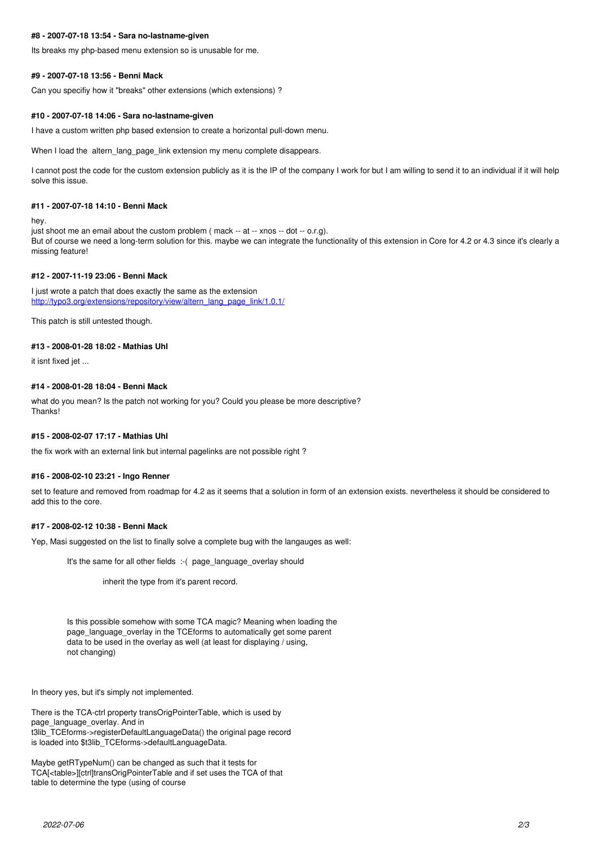### **#8 - 2007-07-18 13:54 - Sara no-lastname-given**

Its breaks my php-based menu extension so is unusable for me.

#### **#9 - 2007-07-18 13:56 - Benni Mack**

Can you specifiy how it "breaks" other extensions (which extensions) ?

#### **#10 - 2007-07-18 14:06 - Sara no-lastname-given**

I have a custom written php based extension to create a horizontal pull-down menu.

When I load the altern\_lang\_page\_link extension my menu complete disappears.

I cannot post the code for the custom extension publicly as it is the IP of the company I work for but I am willing to send it to an individual if it will help solve this issue.

#### **#11 - 2007-07-18 14:10 - Benni Mack**

hey.

just shoot me an email about the custom problem (mack -- at -- xnos -- dot -- o.r.g). But of course we need a long-term solution for this. maybe we can integrate the functionality of this extension in Core for 4.2 or 4.3 since it's clearly a missing feature!

#### **#12 - 2007-11-19 23:06 - Benni Mack**

I just wrote a patch that does exactly the same as the extension [http://typo3.org/extensions/repository/view/altern\\_lang\\_page\\_link/1.0.1/](http://typo3.org/extensions/repository/view/altern_lang_page_link/1.0.1/)

This patch is still untested though.

#### **#13 - 2008-01-28 18:02 - Mathias Uhl**

it isnt fixed jet ...

#### **#14 - 2008-01-28 18:04 - Benni Mack**

what do you mean? Is the patch not working for you? Could you please be more descriptive? Thanks!

#### **#15 - 2008-02-07 17:17 - Mathias Uhl**

the fix work with an external link but internal pagelinks are not possible right ?

#### **#16 - 2008-02-10 23:21 - Ingo Renner**

set to feature and removed from roadmap for 4.2 as it seems that a solution in form of an extension exists. nevertheless it should be considered to add this to the core.

## **#17 - 2008-02-12 10:38 - Benni Mack**

Yep, Masi suggested on the list to finally solve a complete bug with the langauges as well:

It's the same for all other fields :-( page language overlay should

inherit the type from it's parent record.

Is this possible somehow with some TCA magic? Meaning when loading the page\_language\_overlay in the TCEforms to automatically get some parent data to be used in the overlay as well (at least for displaying / using, not changing)

In theory yes, but it's simply not implemented.

There is the TCA-ctrl property transOrigPointerTable, which is used by page\_language\_overlay. And in t3lib\_TCEforms->registerDefaultLanguageData() the original page record is loaded into \$t3lib\_TCEforms->defaultLanguageData.

Maybe getRTypeNum() can be changed as such that it tests for TCA[<table>][ctrl]transOrigPointerTable and if set uses the TCA of that table to determine the type (using of course